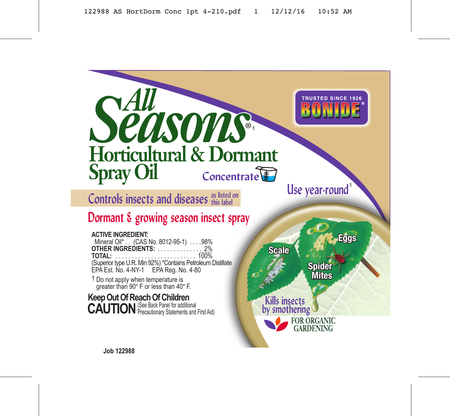

**Controls insects and diseases as listed on this label**

# **Dormant & growing season insect spray**

## **ACTIVE INGREDIENT:**

 Mineral Oil\* . . (CAS No. 8012-95-1) . . . .98% **OTHER INGREDIENTS:** . . . . . .<br>TOTAL **TOTAL:** . . . . . . . . . . . . . . . . . . . . . . . . . 100% (Superior type U.R. Min 92%) \*Contains Petroleum Distillate EPA Est. No. 4-NY-1 EPA Reg. No. 4-80

1 Do not apply when temperature is greater than 90° F or less than 40° F.

**Keep Out Of Reach Of Children<br><b>CAUTION** (See Back Panel for additional **CAUTION** Precautionary Statements and First Aid)

**Eggs Scale Spider Mites Kills insects by smothering FOR ORGANIC** GARDENING

**Use year-round** 

**HISTED SINCE 1926**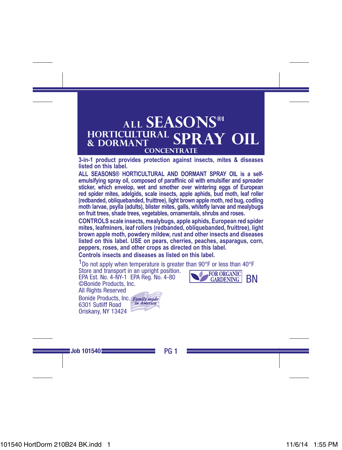# **ALL SEASONS®1 HORTICULTURAL & DORMANT SPRAY OIL CONCENTRATE**

**3-in-1 product provides protection against insects, mites & diseases listed on this label.**

**ALL SEASONS® HORTICULTURAL AND DORMANT SPRAY OIL is a selfemulsifying spray oil, composed of paraffinic oil with emulsifier and spreader**  sticker, which envelop, wet and smother over wintering eggs of European **red spider mites, adelgids, scale insects, apple aphids, bud moth, leaf roller (redbanded, obliquebanded, fruittree), light brown apple moth, red bug, codling moth larvae, psylla (adults), blister mites, galls, whitefly larvae and mealybugs on fruit trees, shade trees, vegetables, ornamentals, shrubs and roses.**

**CONTROLS scale insects, mealybugs, apple aphids, European red spider mites, leafminers, leaf rollers (redbanded, obliquebanded, fruittree), light brown apple moth, powdery mildew, rust and other insects and diseases listed on this label. USE on pears, cherries, peaches, asparagus, corn, peppers, roses, and other crops as directed on this label.**

**Controls insects and diseases as listed on this label.**

 $1$ Do not apply when temperature is greater than 90 $\degree$ F or less than 40 $\degree$ F Store and transport in an upright position. **FOR ORGANIC**<br>GARDENING EPA Est. No. 4-NY-1 EPA Reg. No. 4-80 BN ©Bonide Products, Inc. All Rights Reserved Bonide Products, Inc. Family made

6301 Sutliff Road Oriskany, NY 13424



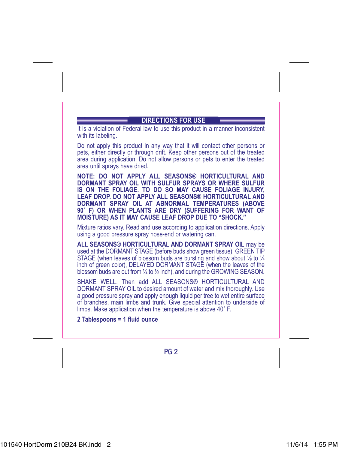# **DIRECTIONS FOR USE**

It is a violation of Federal law to use this product in a manner inconsistent with its labeling.

Do not apply this product in any way that it will contact other persons or pets, either directly or through drift. Keep other persons out of the treated area during application. Do not allow persons or pets to enter the treated area until sprays have dried.

**NOTE: DO NOT APPLY ALL SEASONS® HORTICULTURAL AND DORMANT SPRAY OIL WITH SULFUR SPRAYS OR WHERE SULFUR IS ON THE FOLIAGE. TO DO SO MAY CAUSE FOLIAGE INJURY, LEAF DROP. DO NOT APPLY ALL SEASONS® HORTICULTURAL AND DORMANT SPRAY OIL AT ABNORMAL TEMPERATURES (ABOVE 90˚ F) OR WHEN PLANTS ARE DRY (SUFFERING FOR WANT OF MOISTURE) AS IT MAY CAUSE LEAF DROP DUE TO "SHOCK."**

Mixture ratios vary. Read and use according to application directions. Apply using a good pressure spray hose-end or watering can.

**ALL SEASONS® HORTICULTURAL AND DORMANT SPRAY OIL** may be used at the DORMANT STAGE (before buds show green tissue), GREEN TIP STAGE (when leaves of blossom buds are bursting and show about 1/4 to 1/4 inch of green color), DELAYED DORMANT STAGE (when the leaves of the blossom buds are out from ¼ to ½ inch), and during the GROWING SEASON.

SHAKE WELL. Then add ALL SEASONS® HORTICULTURAL AND DORMANT SPRAY OIL to desired amount of water and mix thoroughly. Use a good pressure spray and apply enough liquid per tree to wet entire surface of branches, main limbs and trunk. Give special attention to underside of limbs. Make application when the temperature is above 40˚ F.

**2 Tablespoons = 1 fluid ounce**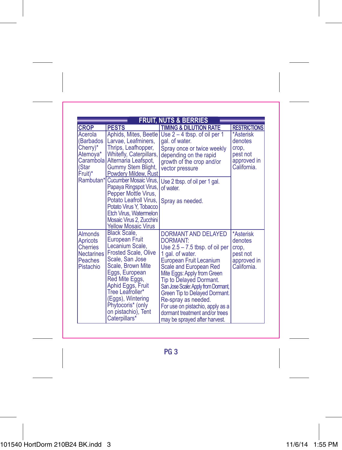|                                                                              | <b>FRUIT, NUTS &amp; BERRIES</b>                                                                                                                                                                                                                                                                      |                                                                                                                                                                                                                                                                                                                                                                                                                            |                                                                         |  |  |
|------------------------------------------------------------------------------|-------------------------------------------------------------------------------------------------------------------------------------------------------------------------------------------------------------------------------------------------------------------------------------------------------|----------------------------------------------------------------------------------------------------------------------------------------------------------------------------------------------------------------------------------------------------------------------------------------------------------------------------------------------------------------------------------------------------------------------------|-------------------------------------------------------------------------|--|--|
| <b>CROP</b>                                                                  | <b>PESTS</b>                                                                                                                                                                                                                                                                                          | <b>TIMING &amp; DILUTION RATE</b>                                                                                                                                                                                                                                                                                                                                                                                          | <b>RESTRICTIONS</b>                                                     |  |  |
| Acerola<br>(Barbados<br>Cherry)*<br>Atemoya*<br>(Star<br>Fruit)*             | Aphids, Mites, Beetle<br>Larvae, Leafminers,<br>Thrips, Leafhopper,<br>Whitefly, Caterpillars,<br>Carambola Alternaria Leafspot,<br>Gummy Stem Blight,<br>Powdery Mildew, Rust                                                                                                                        | Use $2 - 4$ tbsp. of oil per 1<br>gal. of water.<br>Spray once or twice weekly<br>depending on the rapid<br>growth of the crop and/or<br>vector pressure                                                                                                                                                                                                                                                                   | *Asterisk<br>denotes<br>crop,<br>pest not<br>approved in<br>California. |  |  |
|                                                                              | Rambutan* Cucumber Mosaic Virus.<br>Papaya Ringspot Virus,<br>Pepper Mottle Virus,<br>Potato Leafroll Virus.<br>Potato Virus Y, Tobacco<br>Etch Virus, Watermelon<br>Mosaic Virus 2, Zucchini<br><b>Yellow Mosaic Virus</b>                                                                           | Use 2 tbsp. of oil per 1 gal.<br>of water.<br>Spray as needed.                                                                                                                                                                                                                                                                                                                                                             |                                                                         |  |  |
| Almonds<br>Apricots<br>Cherries<br><b>Nectarines</b><br>Peaches<br>Pistachio | <b>Black Scale.</b><br><b>European Fruit</b><br>Lecanium Scale.<br><b>Frosted Scale, Olive</b><br>Scale, San Jose<br>Scale, Brown Mite<br>Eggs, European<br>Red Mite Eggs,<br>Aphid Eggs, Fruit<br>Tree Leafroller*<br>(Eggs), Wintering<br>Phytocoris* (only<br>on pistachio), Tent<br>Caterpillars* | DORMANT AND DELAYED<br><b>DORMANT:</b><br>Use $2.5 - 7.5$ tbsp. of oil per<br>1 gal. of water.<br>European Fruit Lecanium<br>Scale and European Red<br>Mite Eggs: Apply from Green<br><b>Tip to Delayed Dormant.</b><br>San Jose Scale: Apply from Dormant,<br>Green Tip to Delayed Dormant.<br>Re-spray as needed.<br>For use on pistachio, apply as a<br>dormant treatment and/or trees<br>may be sprayed after harvest. | *Asterisk<br>denotes<br>crop,<br>pest not<br>approved in<br>California. |  |  |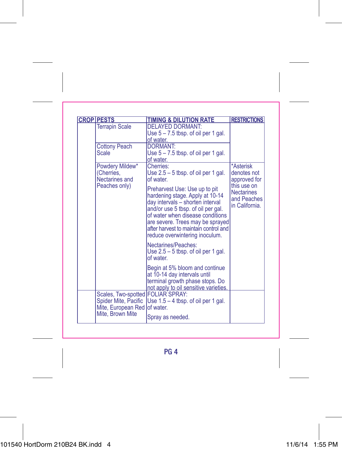| <b>CROP PESTS</b>                                       | <b>TIMING &amp; DILUTION RATE</b>                                                                                                                                                                                                                                                             | <b>RESTRICTIONS</b>                                               |
|---------------------------------------------------------|-----------------------------------------------------------------------------------------------------------------------------------------------------------------------------------------------------------------------------------------------------------------------------------------------|-------------------------------------------------------------------|
| <b>Terrapin Scale</b>                                   | <b>DELAYED DORMANT:</b><br>Use $5 - 7.5$ tbsp. of oil per 1 gal.<br>of water.                                                                                                                                                                                                                 |                                                                   |
| <b>Cottony Peach</b><br>Scale                           | <b>DORMANT:</b><br>Use $5 - 7.5$ tbsp. of oil per 1 gal.<br>of water.                                                                                                                                                                                                                         |                                                                   |
| Powdery Mildew*<br>(Cherries.<br>Nectarines and         | Cherries:<br>Use $2.5 - 5$ tbsp. of oil per 1 gal.<br>of water.                                                                                                                                                                                                                               | *Asterisk<br>denotes not<br>approved for                          |
| Peaches only)                                           | Preharvest Use: Use up to pit<br>hardening stage. Apply at 10-14<br>day intervals - shorten interval<br>and/or use 5 tbsp. of oil per gal.<br>of water when disease conditions<br>are severe. Trees may be sprayed<br>after harvest to maintain control and<br>reduce overwintering inoculum. | this use on<br><b>Nectarines</b><br>and Peaches<br>in California. |
|                                                         | Nectarines/Peaches:<br>Use $2.5 - 5$ tbsp. of oil per 1 gal.<br>of water                                                                                                                                                                                                                      |                                                                   |
|                                                         | Begin at 5% bloom and continue<br>at 10-14 day intervals until<br>terminal growth phase stops. Do<br>not apply to oil sensitive varieties.                                                                                                                                                    |                                                                   |
| Scales, Two-spotted FOLIAR SPRAY:<br>Mite, European Red | Spider Mite, Pacific   Use 1.5 - 4 tbsp. of oil per 1 gal.<br>lof water.                                                                                                                                                                                                                      |                                                                   |
| Mite, Brown Mite                                        | Spray as needed.                                                                                                                                                                                                                                                                              |                                                                   |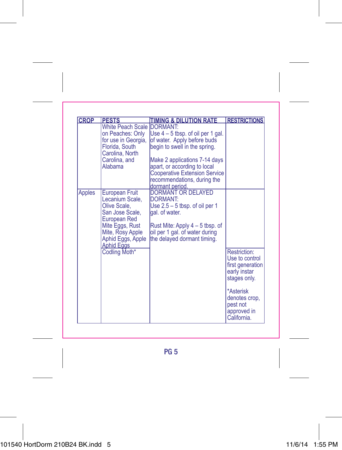| <b>CROP</b> | <b>PESTS</b>                                                                                                                                                          | <b>TIMING &amp; DILUTION RATE</b>                                                                                                                                                               | <b>RESTRICTIONS</b>                                                                |
|-------------|-----------------------------------------------------------------------------------------------------------------------------------------------------------------------|-------------------------------------------------------------------------------------------------------------------------------------------------------------------------------------------------|------------------------------------------------------------------------------------|
|             | White Peach Scale DORMANT:<br>on Peaches: Only<br>for use in Georgia,<br>Florida, South<br>Carolina, North<br>Carolina, and<br>Alabama                                | Use $4 - 5$ tbsp. of oil per 1 gal.<br>of water. Apply before buds<br>begin to swell in the spring.<br>Make 2 applications 7-14 days<br>apart, or according to local                            |                                                                                    |
|             |                                                                                                                                                                       | <b>Cooperative Extension Service</b><br>recommendations, during the<br>dormant period.                                                                                                          |                                                                                    |
| Apples      | European Fruit<br>Lecanium Scale.<br>Olive Scale,<br>San Jose Scale,<br>European Red<br>Mite Eggs, Rust<br>Mite, Rosy Apple<br>Aphid Eggs, Apple<br><b>Aphid Eggs</b> | <b>DORMANT OR DELAYED</b><br>DORMANT:<br>Use $2.5 - 5$ tbsp. of oil per 1<br>gal. of water.<br>Rust Mite: Apply $4-5$ tbsp. of<br>oil per 1 gal. of water during<br>the delayed dormant timing. |                                                                                    |
|             | Codling Moth*                                                                                                                                                         |                                                                                                                                                                                                 | Restriction:<br>Use to control<br>first generation<br>early instar<br>stages only. |
|             |                                                                                                                                                                       |                                                                                                                                                                                                 | *Asterisk<br>denotes crop.<br>pest not<br>approved in<br>California.               |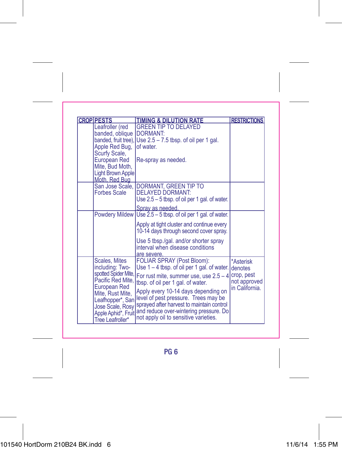| <b>CROP PESTS</b>                       | <b>TIMING &amp; DILUTION RATE</b>                                                 | <b>RESTRICTIONS</b>        |
|-----------------------------------------|-----------------------------------------------------------------------------------|----------------------------|
| Leafroller (red                         | <b>GREEN TIP TO DELAYED</b>                                                       |                            |
| banded, oblique                         | <b>IDORMANT:</b>                                                                  |                            |
|                                         | banded, fruit tree), Use $2.5 - 7.5$ tbsp. of oil per 1 gal.                      |                            |
| Apple Red Bug,                          | of water.                                                                         |                            |
| Scurfy Scale,<br>European Red           | Re-spray as needed.                                                               |                            |
| Mite, Bud Moth,                         |                                                                                   |                            |
| Light Brown Apple                       |                                                                                   |                            |
| Moth, Red Bug                           |                                                                                   |                            |
|                                         | San Jose Scale, DORMANT, GREEN TIP TO                                             |                            |
| Forbes Scale                            | <b>DELAYED DORMANT:</b>                                                           |                            |
|                                         | Use $2.5 - 5$ tbsp. of oil per 1 gal. of water.                                   |                            |
|                                         | Spray as needed.                                                                  |                            |
|                                         | Powdery Mildew Use 2.5 - 5 tbsp. of oil per 1 gal. of water.                      |                            |
|                                         | Apply at tight cluster and continue every                                         |                            |
|                                         | 10-14 days through second cover spray.                                            |                            |
|                                         | Use 5 tbsp./gal. and/or shorter spray                                             |                            |
|                                         | interval when disease conditions                                                  |                            |
| Scales, Mites                           | are severe.<br><b>FOLIAR SPRAY (Post Bloom):</b>                                  |                            |
| including: Two-                         | Use $1 - 4$ tbsp. of oil per 1 gal. of water.                                     | *Asterisk<br>denotes       |
| Pacific Red Mite.                       | spotted Spider Mite, For rust mite, summer use, use 2.5 - 4                       | crop, pest<br>not approved |
| European Red                            | tbsp. of oil per 1 gal. of water.                                                 | in California.             |
| Mite, Rust Mite,                        | Apply every 10-14 days depending on                                               |                            |
| Leafhopper*, San                        | level of pest pressure. Trees may be<br>sprayed after harvest to maintain control |                            |
| Jose Scale, Rosy                        | and reduce over-wintering pressure. Do                                            |                            |
| Apple Aphid*, Fruit<br>Tree Leafroller* | not apply oil to sensitive varieties.                                             |                            |
|                                         |                                                                                   |                            |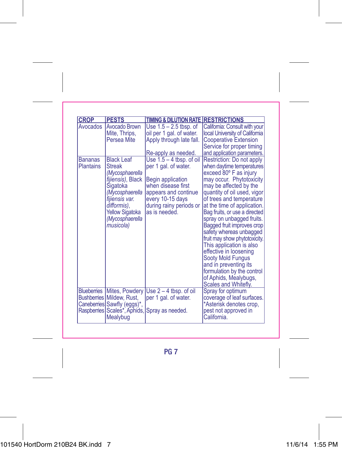| <b>CROP</b>                        | <b>PESTS</b>                                                                                                                                                                                         | TIMING & DILUTION RATE RESTRICTIONS                                                                                                                                                   |                                                                                                                                                                                                                                                                                                                                                                                                                                                                                                                                                                             |
|------------------------------------|------------------------------------------------------------------------------------------------------------------------------------------------------------------------------------------------------|---------------------------------------------------------------------------------------------------------------------------------------------------------------------------------------|-----------------------------------------------------------------------------------------------------------------------------------------------------------------------------------------------------------------------------------------------------------------------------------------------------------------------------------------------------------------------------------------------------------------------------------------------------------------------------------------------------------------------------------------------------------------------------|
| Avocados                           | Avocado Brown<br>Mite, Thrips,<br>Persea Mite                                                                                                                                                        | Use 1.5 - 2.5 tbsp. of<br>oil per 1 gal. of water.<br>Apply through late fall.<br>Re-apply as needed.                                                                                 | California: Consult with your<br>local University of California<br><b>Cooperative Extension</b><br>Service for proper timing<br>and application parameters.                                                                                                                                                                                                                                                                                                                                                                                                                 |
| <b>Bananas</b><br><b>Plantains</b> | <b>Black Leaf</b><br><b>Streak</b><br>(Mycosphaerella<br>fijiensis), Black<br>Sigatoka<br>(Mycosphaerella<br>fijiensis var.<br>difformis).<br><b>Yellow Sigatoka</b><br>(Mycosphaerella<br>musicola) | Use $1.5 - 4$ tbsp. of oil<br>per 1 gal. of water.<br>Begin application<br>when disease first<br>appears and continue<br>every 10-15 days<br>during rainy periods or<br>as is needed. | Restriction: Do not apply<br>when daytime temperatures<br>exceed 80° F as injury<br>may occur. Phytotoxicity<br>may be affected by the<br>quantity of oil used, vigor<br>of trees and temperature<br>at the time of application.<br>Bag fruits, or use a directed<br>spray on unbagged fruits.<br>Bagged fruit improves crop<br>safety whereas unbagged<br>fruit may show phytotoxicity.<br>This application is also<br>effective in loosening<br>Sooty Mold Fungus<br>and in preventing its<br>formulation by the control<br>of Aphids, Mealybugs,<br>Scales and Whitefly. |
|                                    | <b>Blueberries Mites, Powdery</b><br>Bushberries Mildew, Rust,<br>Caneberries Sawfly (eggs)*,<br>Raspberries Scales*, Aphids,<br>Mealybug                                                            | Use $2 - 4$ tbsp. of oil<br>per 1 gal. of water.<br>Spray as needed.                                                                                                                  | Spray for optimum<br>coverage of leaf surfaces.<br>*Asterisk denotes crop,<br>pest not approved in<br>California.                                                                                                                                                                                                                                                                                                                                                                                                                                                           |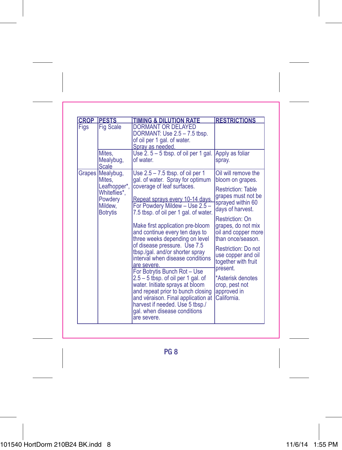| <b>CROP</b> | <b>PESTS</b>                                                                                        | <b>TIMING &amp; DILUTION RATE</b>                                                                                                                                                                                                                                                                                                                                                                                                                                                                  | <b>RESTRICTIONS</b>                                                                                                                                                                                                                    |
|-------------|-----------------------------------------------------------------------------------------------------|----------------------------------------------------------------------------------------------------------------------------------------------------------------------------------------------------------------------------------------------------------------------------------------------------------------------------------------------------------------------------------------------------------------------------------------------------------------------------------------------------|----------------------------------------------------------------------------------------------------------------------------------------------------------------------------------------------------------------------------------------|
| Figs        | <b>Fig Scale</b>                                                                                    | <b>DORMANT OR DELAYED</b><br>DORMANT: Use 2.5 - 7.5 tbsp.<br>of oil per 1 gal. of water.<br>Spray as needed.                                                                                                                                                                                                                                                                                                                                                                                       |                                                                                                                                                                                                                                        |
|             | Mites,<br>Mealybug,<br>Scale                                                                        | Use $2.5 - 5$ tbsp. of oil per 1 gal.<br>of water.                                                                                                                                                                                                                                                                                                                                                                                                                                                 | Apply as foliar<br>spray.                                                                                                                                                                                                              |
|             | Grapes Mealybug,<br>Mites.<br>Leafhopper*,<br>Whiteflies*.<br>Powdery<br>Mildew.<br><b>Botrytis</b> | Use $2.5 - 7.5$ tbsp. of oil per 1<br>gal. of water. Spray for optimum<br>coverage of leaf surfaces.<br>Repeat sprays every 10-14 days.<br>For Powdery Mildew - Use 2.5 -<br>7.5 tbsp. of oil per 1 gal. of water.                                                                                                                                                                                                                                                                                 | Oil will remove the<br>bloom on grapes.<br><b>Restriction: Table</b><br>grapes must not be<br>sprayed within 60<br>days of harvest.                                                                                                    |
|             |                                                                                                     | Make first application pre-bloom<br>and continue every ten days to<br>three weeks depending on level<br>of disease pressure. Use 7.5<br>tbsp./gal. and/or shorter spray<br>interval when disease conditions<br>are severe.<br>For Botrytis Bunch Rot - Use<br>$2.5 - 5$ tbsp. of oil per 1 gal. of<br>water. Initiate sprays at bloom<br>and repeat prior to bunch closing<br>and véraison. Final application at<br>harvest if needed. Use 5 tbsp./<br>gal. when disease conditions<br>are severe. | Restriction: On<br>grapes, do not mix<br>oil and copper more<br>than once/season.<br>Restriction: Do not<br>use copper and oil<br>together with fruit<br>present.<br>*Asterisk denotes<br>crop, pest not<br>approved in<br>California. |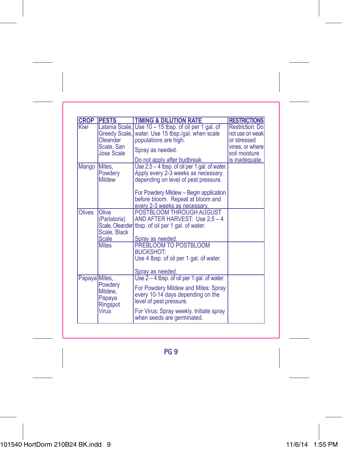| <b>CROP</b>   | <b>PESTS</b>                                                                   | <b>TIMING &amp; DILUTION RATE</b>                                                                                                                                     | <b>RESTRICTIONS</b>                                                                   |
|---------------|--------------------------------------------------------------------------------|-----------------------------------------------------------------------------------------------------------------------------------------------------------------------|---------------------------------------------------------------------------------------|
| Kiwi          | Latania Scale.<br>Greedy Scale,<br>Oleander<br>Scale, San<br><b>Jose Scale</b> | Use 10 - 15 tbsp. of oil per 1 gal. of<br>water. Use 15 tbsp./gal. when scale<br>populations are high.<br>Spray as needed.                                            | Restriction: Do<br>not use on weak<br>or stressed<br>vines, or where<br>soil moisture |
|               |                                                                                | Do not apply after budbreak.                                                                                                                                          | is inadequate.                                                                        |
| Mango         | Mites.<br>Powdery<br>Mildew                                                    | Use 2.5 - 4 tbsp. of oil per 1 gal. of water.<br>Apply every 2-3 weeks as necessary<br>depending on level of pest pressure.<br>For Powdery Mildew - Begin application |                                                                                       |
|               |                                                                                | before bloom. Repeat at bloom and                                                                                                                                     |                                                                                       |
|               | Olive                                                                          | every 2-3 weeks as necessary.                                                                                                                                         |                                                                                       |
| Olives        | (Parlatoria)<br>Scale, Black<br><b>Scale</b>                                   | POSTBLOOM THROUGH AUGUST<br>AND AFTER HARVEST: Use 2.5 - 4<br>Scale, Oleander tbsp. of oil per 1 gal. of water.<br>Spray as needed.                                   |                                                                                       |
|               | <b>Mites</b>                                                                   | PREBLOOM TO POSTBLOOM                                                                                                                                                 |                                                                                       |
|               |                                                                                | <b>BUCKSHOT:</b>                                                                                                                                                      |                                                                                       |
|               |                                                                                | Use 4 tbsp. of oil per 1 gal. of water.                                                                                                                               |                                                                                       |
|               |                                                                                | Spray as needed.                                                                                                                                                      |                                                                                       |
| Papaya Mites. |                                                                                | Use $2 - 4$ tbsp. of oil per 1 gal. of water.                                                                                                                         |                                                                                       |
|               | Powdery<br>Mildew,<br>Papaya<br>Ringspot                                       | For Powdery Mildew and Mites: Spray<br>every 10-14 days depending on the<br>level of pest pressure.                                                                   |                                                                                       |
|               | Virus                                                                          | For Virus: Spray weekly. Initiate spray<br>when seeds are germinated.                                                                                                 |                                                                                       |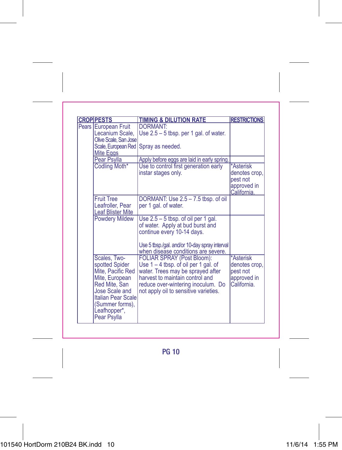| <b>CROPIPESTS</b>                                                                                                                                                                       | <b>TIMING &amp; DILUTION RATE</b>                                                                                                                                                                                           | <b>RESTRICTIONS</b>                                                  |
|-----------------------------------------------------------------------------------------------------------------------------------------------------------------------------------------|-----------------------------------------------------------------------------------------------------------------------------------------------------------------------------------------------------------------------------|----------------------------------------------------------------------|
| Pears European Fruit<br>Lecanium Scale,<br>Olive Scale, San Jose<br>Mite Eggs                                                                                                           | <b>DORMANT:</b><br>Use $2.5 - 5$ tbsp. per 1 gal. of water.<br>Scale, European Red Spray as needed.                                                                                                                         |                                                                      |
| Pear Psylla                                                                                                                                                                             | Apply before eggs are laid in early spring.                                                                                                                                                                                 |                                                                      |
| Codling Moth*                                                                                                                                                                           | Use to control first generation early<br>instar stages only.                                                                                                                                                                | *Asterisk<br>denotes crop,<br>pest not<br>approved in<br>California. |
| <b>Fruit Tree</b><br>Leafroller, Pear<br><b>Leaf Blister Mite</b>                                                                                                                       | DORMANT: Use 2.5 - 7.5 tbsp. of oil<br>per 1 gal. of water.                                                                                                                                                                 |                                                                      |
| <b>Powdery Mildew</b>                                                                                                                                                                   | Use $2.5 - 5$ tbsp. of oil per 1 gal.<br>of water. Apply at bud burst and<br>continue every 10-14 days.<br>Use 5 tbsp./gal. and/or 10-day spray interval<br>when disease conditions are severe.                             |                                                                      |
| Scales, Two-<br>spotted Spider<br>Mite, Pacific Red<br>Mite, European<br>Red Mite, San<br>Jose Scale and<br><b>Italian Pear Scale</b><br>(Summer forms),<br>Leafhopper*,<br>Pear Psylla | FOLIAR SPRAY (Post Bloom):<br>Use $1 - 4$ tbsp. of oil per 1 gal. of<br>water. Trees may be sprayed after<br>harvest to maintain control and<br>reduce over-wintering inoculum. Do<br>not apply oil to sensitive varieties. | *Asterisk<br>denotes crop,<br>pest not<br>approved in<br>California. |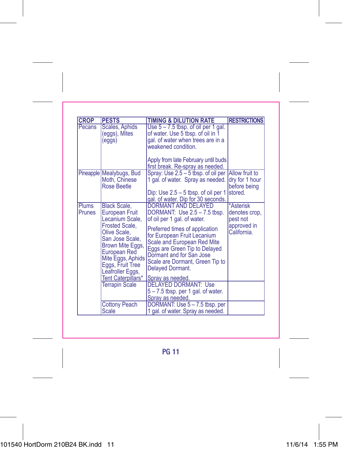| <b>CROP</b>     | <b>PESTS</b>                                                                                                                                       | <b>TIMING &amp; DILUTION RATE</b>                                                                                                                                                                                | <b>RESTRICTIONS</b>                       |
|-----------------|----------------------------------------------------------------------------------------------------------------------------------------------------|------------------------------------------------------------------------------------------------------------------------------------------------------------------------------------------------------------------|-------------------------------------------|
| Pecans          | Scales, Aphids<br>(eggs), Mites<br>(eggs)                                                                                                          | Use $5 - 7.5$ tbsp. of oil per 1 gal.<br>of water. Use 5 tbsp. of oil in 1<br>gal. of water when trees are in a<br>weakened condition.<br>Apply from late February until buds                                    |                                           |
|                 | Pineapple Mealybugs, Bud                                                                                                                           | first break. Re-spray as needed.<br>Spray: Use 2.5 - 5 tbsp. of oil per Allow fruit to                                                                                                                           |                                           |
|                 | Moth, Chinese<br><b>Rose Beetle</b>                                                                                                                | 1 gal. of water. Spray as needed.<br>Dip: Use $2.5 - 5$ tbsp. of oil per 1<br>gal. of water. Dip for 30 seconds.                                                                                                 | dry for 1 hour<br>before being<br>stored. |
| Plums<br>Prunes | <b>Black Scale.</b><br>European Fruit<br>Lecanium Scale.                                                                                           | <b>DORMANT AND DELAYED</b><br>DORMANT: Use 2.5 - 7.5 tbsp.<br>of oil per 1 gal. of water.                                                                                                                        | *Asterisk<br>denotes crop,<br>pest not    |
|                 | Frosted Scale.<br>Olive Scale.<br>San Jose Scale.<br>Brown Mite Eggs,<br>European Red<br>Mite Eggs, Aphids<br>Eggs, Fruit Tree<br>Leafroller Eggs, | Preferred times of application<br>for European Fruit Lecanium<br>Scale and European Red Mite<br>Eggs are Green Tip to Delayed<br>Dormant and for San Jose<br>Scale are Dormant, Green Tip to<br>Delayed Dormant. | approved in<br>California.                |
|                 | Tent Caterpillars*<br><b>Terrapin Scale</b>                                                                                                        | Spray as needed.<br><b>DELAYED DORMANT: Use</b>                                                                                                                                                                  |                                           |
|                 |                                                                                                                                                    | $5 - 7.5$ tbsp. per 1 gal. of water.<br>Spray as needed.                                                                                                                                                         |                                           |
|                 | <b>Cottony Peach</b><br><b>Scale</b>                                                                                                               | DORMANT: Use 5 - 7.5 tbsp. per<br>1 gal. of water. Spray as needed.                                                                                                                                              |                                           |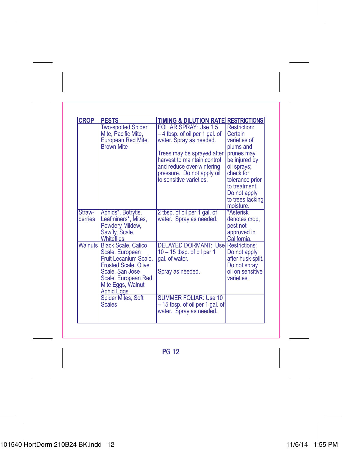| <b>CROP</b>       | <b>PESTS</b>                                                                                                                                                                                                                   | <b>TIMING &amp; DILUTION RATE RESTRICTIONS</b>                                                                                                                                                                                              |                                                                                                                                                                                                      |
|-------------------|--------------------------------------------------------------------------------------------------------------------------------------------------------------------------------------------------------------------------------|---------------------------------------------------------------------------------------------------------------------------------------------------------------------------------------------------------------------------------------------|------------------------------------------------------------------------------------------------------------------------------------------------------------------------------------------------------|
|                   | <b>Two-spotted Spider</b><br>Mite, Pacific Mite,<br>European Red Mite,<br><b>Brown Mite</b>                                                                                                                                    | <b>FOLIAR SPRAY: Use 1.5</b><br>-4 tbsp. of oil per 1 gal. of<br>water. Spray as needed.<br>Trees may be sprayed after<br>harvest to maintain control<br>and reduce over-wintering<br>pressure. Do not apply oil<br>to sensitive varieties. | Restriction:<br>Certain<br>varieties of<br>plums and<br>prunes may<br>be injured by<br>oil sprays;<br>check for<br>tolerance prior<br>to treatment.<br>Do not apply<br>to trees lacking<br>moisture. |
| Straw-<br>berries | Aphids*, Botrytis,<br>Leafminers*, Mites,<br>Powdery Mildew,<br>Sawfly, Scale,<br>Whiteflies                                                                                                                                   | 2 tbsp. of oil per 1 gal. of<br>water. Spray as needed.                                                                                                                                                                                     | *Asterisk<br>denotes crop,<br>pest not<br>approved in<br>California.                                                                                                                                 |
|                   | <b>Walnuts Black Scale, Calico</b><br>Scale, European<br>Fruit Lecanium Scale,<br><b>Frosted Scale, Olive</b><br>Scale, San Jose<br>Scale, European Red<br>Mite Eggs, Walnut<br><b>Aphid Eggs</b><br><b>Spider Mites, Soft</b> | <b>DELAYED DORMANT: Usel Restrictions:</b><br>$10 - 15$ tbsp. of oil per 1<br>gal. of water.<br>Spray as needed.<br><b>SUMMER FOLIAR: Use 10</b>                                                                                            | Do not apply<br>after husk split.<br>Do not spray<br>oil on sensitive<br>varieties.                                                                                                                  |
|                   | <b>Scales</b>                                                                                                                                                                                                                  | - 15 tbsp. of oil per 1 gal. of<br>water. Spray as needed.                                                                                                                                                                                  |                                                                                                                                                                                                      |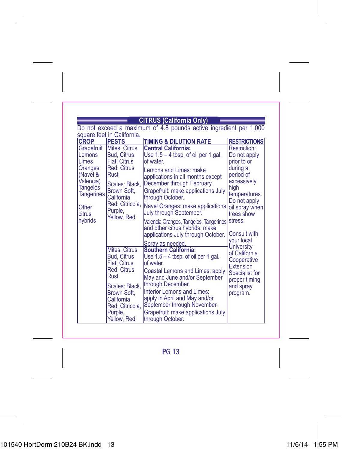**CITRUS (California Only)**<br>Do not exceed a maximum of 4.8 pounds active ingredient per 1,000 square feet in California.

| <b>CROP</b>                                                                                     | <b>PESTS</b>                                                                                                    | <b>TIMING &amp; DILUTION RATE</b>                                                                                                                                                                                                                                                              | <b>RESTRICTIONS</b>                                                                                                                     |
|-------------------------------------------------------------------------------------------------|-----------------------------------------------------------------------------------------------------------------|------------------------------------------------------------------------------------------------------------------------------------------------------------------------------------------------------------------------------------------------------------------------------------------------|-----------------------------------------------------------------------------------------------------------------------------------------|
| Grapefruit                                                                                      | Mites: Citrus<br><b>Bud. Citrus</b>                                                                             | <b>Central California:</b>                                                                                                                                                                                                                                                                     | Restriction:                                                                                                                            |
| <b>Lemons</b><br><b>Limes</b>                                                                   | <b>Flat. Citrus</b>                                                                                             | Use $1.5 - 4$ tbsp. of oil per 1 gal.<br>of water.                                                                                                                                                                                                                                             | Do not apply                                                                                                                            |
| Oranges<br>KNavel &<br>Valencia)<br><b>Tangelos</b><br>Tangerines<br>Other<br>citrus<br>hybrids | Red, Citrus<br>Rust<br>Scales: Black,<br>Brown Soft,<br>California<br>Red, Citricola,<br>Purple,<br>Yellow, Red | Lemons and Limes: make<br>applications in all months except<br>December through February.<br>Grapefruit: make applications July<br>through October.<br>Navel Oranges: make applications<br>July through September.<br>Valencia Oranges, Tangelos, Tangerines<br>and other citrus hybrids: make | prior to or<br>during a<br>period of<br>excessively<br>high<br>temperatures.<br>Do not apply<br>oil spray when<br>trees show<br>stress. |
|                                                                                                 |                                                                                                                 | applications July through October.<br>Spray as needed.                                                                                                                                                                                                                                         | Consult with<br>vour local                                                                                                              |
|                                                                                                 | Mites: Citrus<br><b>Bud. Citrus</b><br>Flat, Citrus<br>Red, Citrus<br>Rust                                      | <b>Southern California:</b><br>Use $1.5 - 4$ tbsp. of oil per 1 gal.<br>of water.<br>Coastal Lemons and Limes: apply<br>May and June and/or September                                                                                                                                          | <b>University</b><br>of California<br>Cooperative<br>Extension<br>Specialist for<br>proper timing                                       |
|                                                                                                 | Scales: Black.<br>Brown Soft.<br>California<br>Red, Citricola,<br>Purple,<br>Yellow, Red                        | through December.<br>Interior Lemons and Limes:<br>apply in April and May and/or<br>September through November.<br>Grapefruit: make applications July<br>through October.                                                                                                                      | and spray<br>program.                                                                                                                   |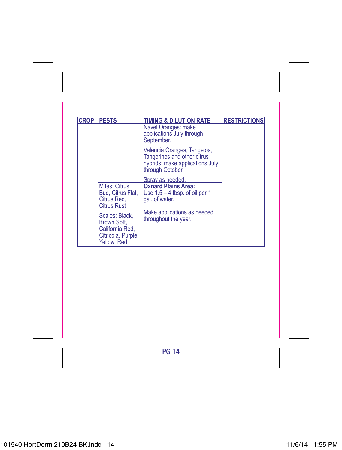| <b>CROP PESTS</b>                                                                     | <b>TIMING &amp; DILUTION RATE</b>                                                                                 | <b>RESTRICTIONS</b> |
|---------------------------------------------------------------------------------------|-------------------------------------------------------------------------------------------------------------------|---------------------|
|                                                                                       | Navel Oranges: make<br>applications July through<br>September.                                                    |                     |
|                                                                                       | Valencia Oranges, Tangelos,<br>Tangerines and other citrus<br>hybrids: make applications July<br>through October. |                     |
|                                                                                       | Spray as needed.                                                                                                  |                     |
| Mites: Citrus<br>Bud. Citrus Flat.<br>Citrus Red.<br><b>Citrus Rust</b>               | <b>Oxnard Plains Area:</b><br>Use $1.5 - 4$ tbsp. of oil per 1<br>gal, of water.                                  |                     |
| Scales: Black.<br>Brown Soft.<br>California Red,<br>Citricola, Purple,<br>Yellow, Red | Make applications as needed<br>throughout the year.                                                               |                     |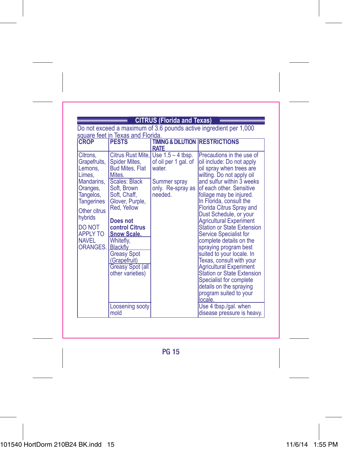# **CITRUS (Florida and Texas)**

Do not exceed a maximum of 3.6 pounds active ingredient per 1,000 square feet in Texas and Florida.

| <b>CROP</b>                                                                                                                                                                                                   | <u>oqual o Toot in Toxao and Fionad.</u><br><b>PESTS</b>                                                                                                                                                                                                                                  | <b>TIMING &amp; DILUTION RESTRICTIONS</b><br><b>RATE</b>                                                              |                                                                                                                                                                                                                                                                                                                                                                                                                                                                                                                                                                                                                                                                               |
|---------------------------------------------------------------------------------------------------------------------------------------------------------------------------------------------------------------|-------------------------------------------------------------------------------------------------------------------------------------------------------------------------------------------------------------------------------------------------------------------------------------------|-----------------------------------------------------------------------------------------------------------------------|-------------------------------------------------------------------------------------------------------------------------------------------------------------------------------------------------------------------------------------------------------------------------------------------------------------------------------------------------------------------------------------------------------------------------------------------------------------------------------------------------------------------------------------------------------------------------------------------------------------------------------------------------------------------------------|
| Citrons,<br>Grapefruits,<br>Lemons.<br>Limes,<br>Mandarins.<br>Oranges,<br>Tangelos,<br>Tangerines<br>Other citrus<br>hybrids<br><b>DO NOT</b><br><b>APPLY TO</b><br><b>NAVEL</b><br><b>ORANGES, Blackfly</b> | Spider Mites,<br><b>Bud Mites, Flat</b><br>Mites.<br>Scales: Black<br>Soft. Brown<br>Soft, Chaff,<br>Glover, Purple,<br>Red. Yellow<br>Does not<br>control Citrus<br><b>Snow Scale.</b><br>Whitefly.<br><b>Greasy Spot</b><br>(Grapefruit)<br><b>Greasy Spot (all</b><br>other varieties) | Citrus Rust Mite, Use 1.5 - 4 tbsp.<br>of oil per 1 gal. of<br>water.<br>Summer spray<br>only. Re-spray as<br>needed. | Precautions in the use of<br>oil include: Do not apply<br>oil spray when trees are<br>wilting. Do not apply oil<br>and sulfur within 3 weeks<br>lof each other. Sensitive<br>foliage may be injured.<br>In Florida, consult the<br><b>Florida Citrus Spray and</b><br>Dust Schedule, or your<br><b>Agricultural Experiment</b><br>Station or State Extension<br><b>Service Specialist for</b><br>complete details on the<br>spraying program best<br>suited to your locale. In<br>Texas, consult with your<br><b>Agricultural Experiment</b><br><b>Station or State Extension</b><br>Specialist for complete<br>details on the spraying<br>program suited to your<br>llocale. |
|                                                                                                                                                                                                               | Loosening sooty<br>mold                                                                                                                                                                                                                                                                   |                                                                                                                       | Use 4 tbsp./gal. when<br>disease pressure is heavy.                                                                                                                                                                                                                                                                                                                                                                                                                                                                                                                                                                                                                           |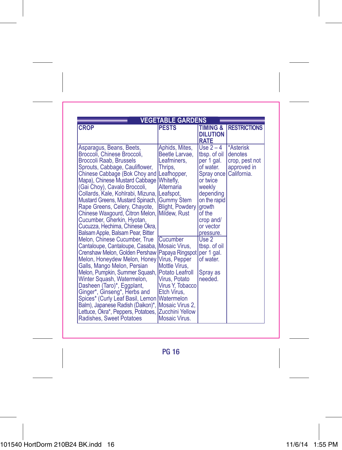| <b>VEGETABLE GARDENS</b>                                             |                        |                        |                     |  |
|----------------------------------------------------------------------|------------------------|------------------------|---------------------|--|
| <b>CROP</b>                                                          | <b>PESTS</b>           | <b>TIMING &amp;</b>    | <b>RESTRICTIONS</b> |  |
|                                                                      |                        | <b>DILUTION</b>        |                     |  |
|                                                                      |                        | <b>RATE</b>            |                     |  |
| Asparagus, Beans, Beets,                                             | Aphids, Mites,         | Use $2 - 4$            | *Asterisk           |  |
| Broccoli, Chinese Broccoli,                                          | Beetle Larvae,         | tbsp. of oil           | denotes             |  |
| <b>Broccoli Raab, Brussels</b>                                       | Leafminers.            | per 1 gal.             | crop, pest not      |  |
| Sprouts, Cabbage, Cauliflower,                                       | Thrips.                | of water.              | approved in         |  |
| Chinese Cabbage (Bok Choy and Leafhopper,                            |                        | Spray once             | California.         |  |
| Mapa), Chinese Mustard Cabbage                                       | Whitefly,              | or twice               |                     |  |
| (Gai Choy), Cavalo Broccoli,                                         | Alternaria             | weekly                 |                     |  |
| Collards, Kale, Kohlrabi, Mizuna,                                    | Leafspot,              | depending              |                     |  |
| Mustard Greens, Mustard Spinach,                                     | <b>Gummy Stem</b>      | on the rapid           |                     |  |
| Rape Greens, Celery, Chayote,                                        | <b>Blight, Powdery</b> | arowth                 |                     |  |
| Chinese Waxgourd, Citron Melon, Mildew, Rust                         |                        | of the                 |                     |  |
| Cucumber, Gherkin, Hyotan,                                           |                        | crop and/              |                     |  |
| Cucuzza, Hechima, Chinese Okra,<br>Balsam Apple, Balsam Pear, Bitter |                        | or vector<br>pressure. |                     |  |
| Melon, Chinese Cucumber, True                                        | Cucumber               | Use 2                  |                     |  |
| Cantaloupe, Cantaloupe, Casaba, Mosaic Virus,                        |                        | tbsp. of oil           |                     |  |
| Crenshaw Melon, Golden Pershaw   Papaya Ringspot                     |                        | per 1 gal.             |                     |  |
| Melon, Honeydew Melon, Honey Virus, Pepper                           |                        | of water.              |                     |  |
| Galls, Mango Melon, Persian                                          | Mottle Virus.          |                        |                     |  |
| Melon, Pumpkin, Summer Squash,                                       | Potato Leafroll        | Spray as               |                     |  |
| Winter Squash, Watermelon,                                           | Virus, Potato          | needed.                |                     |  |
| Dasheen (Taro)*, Eggplant,                                           | Virus Y, Tobacco       |                        |                     |  |
| Ginger*, Ginseng*, Herbs and                                         | Etch Virus.            |                        |                     |  |
| Spices* (Curly Leaf Basil, Lemon                                     | Watermelon             |                        |                     |  |
| Balm), Japanese Radish (Daikon)*,                                    | Mosaic Virus 2,        |                        |                     |  |
| Lettuce, Okra*, Peppers, Potatoes,                                   | IZucchini Yellow       |                        |                     |  |
| Radishes, Sweet Potatoes                                             | Mosaic Virus.          |                        |                     |  |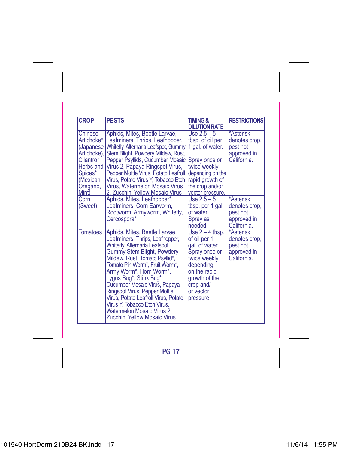| <b>CROP</b>                                                                                                               | <b>PESTS</b>                                                                                                                                                                                                                                                                                                                                                                                                                                                       | <b>TIMING &amp;</b><br><b>DILUTION RATE</b>                                                                                                                               | <b>RESTRICTIONS</b>                                                  |
|---------------------------------------------------------------------------------------------------------------------------|--------------------------------------------------------------------------------------------------------------------------------------------------------------------------------------------------------------------------------------------------------------------------------------------------------------------------------------------------------------------------------------------------------------------------------------------------------------------|---------------------------------------------------------------------------------------------------------------------------------------------------------------------------|----------------------------------------------------------------------|
| Chinese<br>Artichoke*<br>(Japanese)<br>Artichoke),<br>Cilantro*,<br>Herbs and<br>Spices*<br>(Mexican<br>Oregano,<br>Mint) | Aphids, Mites, Beetle Larvae,<br>Leafminers, Thrips, Leafhopper,<br>Whitefly, Alternaria Leafspot, Gummy<br>Stem Blight, Powdery Mildew, Rust,<br>Pepper Psyllids, Cucumber Mosaic<br>Virus 2, Papaya Ringspot Virus,<br>Pepper Mottle Virus, Potato Leafroll<br>Virus, Potato Virus Y, Tobacco Etch<br>Virus, Watermelon Mosaic Virus<br>2. Zucchini Yellow Mosaic Virus                                                                                          | $Use 2.5 - 5$<br>tbsp. of oil per<br>1 gal. of water.<br>Spray once or<br>twice weekly<br>depending on the<br>rapid growth of<br>the crop and/or<br>vector pressure.      | *Asterisk<br>denotes crop,<br>pest not<br>approved in<br>California. |
| Corn<br>(Sweet)                                                                                                           | Aphids, Mites, Leafhopper*,<br>Leafminers, Corn Earworm,<br>Rootworm, Armyworm, Whitefly,<br>Cercospora*                                                                                                                                                                                                                                                                                                                                                           | $Use 2.5 - 5$<br>tbsp. per 1 gal.<br>of water.<br>Spray as<br>needed.                                                                                                     | *Asterisk<br>denotes crop,<br>pest not<br>approved in<br>California. |
| <b>Tomatoes</b>                                                                                                           | Aphids, Mites, Beetle Larvae,<br>Leafminers, Thrips, Leafhopper,<br>Whitefly, Alternaria Leafspot,<br>Gummy Stem Blight, Powdery<br>Mildew, Rust, Tomato Psyllid*,<br>Tomato Pin Worm*, Fruit Worm*,<br>Army Worm*, Horn Worm*.<br>Lygus Bug*, Stink Bug*,<br>Cucumber Mosaic Virus, Papaya<br>Ringspot Virus, Pepper Mottle<br>Virus, Potato Leafroll Virus, Potato<br>Virus Y, Tobacco Etch Virus,<br>Watermelon Mosaic Virus 2.<br>Zucchini Yellow Mosaic Virus | Use $2 - 4$ tbsp.<br>of oil per 1<br>gal. of water.<br>Spray once or<br>twice weekly<br>depending<br>on the rapid<br>growth of the<br>crop and/<br>or vector<br>pressure. | *Asterisk<br>denotes crop,<br>pest not<br>approved in<br>California. |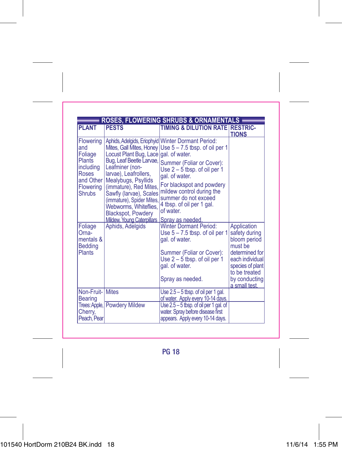|                                           | <b>ROSES, FLOWERING SHRUBS &amp; ORNAMENTALS</b>                                                                                     |                                                                                                                             |                                                                        |  |
|-------------------------------------------|--------------------------------------------------------------------------------------------------------------------------------------|-----------------------------------------------------------------------------------------------------------------------------|------------------------------------------------------------------------|--|
| <b>PI ANT</b>                             | <b>PESTS</b>                                                                                                                         | TIMING & DILUTION RATE RESTRIC-                                                                                             | <b>TIONS</b>                                                           |  |
| and<br>Foliage<br><b>Plants</b>           | Locust Plant Bug, Lace   gal. of water.                                                                                              | Flowering   Aphids, Adelgids, Eriophyid   Winter Dormant Period:<br>Mites, Gall Mites, Honey Use 5 - 7.5 tbsp. of oil per 1 |                                                                        |  |
| including<br>Roses<br>and Other           | Leafminer (non-<br>larvae), Leafrollers,<br>Mealybugs, Psyllids                                                                      | Bug, Leaf Beetle Larvae, Summer (Foliar or Cover):<br>Use $2 - 5$ tbsp. of oil per 1<br>gal. of water.                      |                                                                        |  |
| Flowering<br><b>Shrubs</b>                | (immature), Red Mites,<br>Sawfly (larvae), Scales<br>(immature), Spider Mites,<br>Webworms, Whiteflies,<br><b>Blackspot, Powdery</b> | For blackspot and powdery<br>mildew control during the<br>summer do not exceed<br>4 tbsp. of oil per 1 gal.<br>of water.    |                                                                        |  |
|                                           | Mildew. Young Caterpillars   Spray as needed.                                                                                        |                                                                                                                             |                                                                        |  |
| Foliage<br>Oma-<br>mentals &<br>Bedding   | Aphids, Adelgids                                                                                                                     | <b>Winter Dormant Period:</b><br>Use $5 - 7.5$ tbsp. of oil per 1<br>gal. of water.                                         | Application<br>safety during<br>bloom period<br>must be                |  |
| <b>Plants</b>                             |                                                                                                                                      | Summer (Foliar or Cover):<br>Use $2 - 5$ tbsp. of oil per 1<br>gal. of water.                                               | determined for<br>each individual<br>species of plant<br>to be treated |  |
|                                           |                                                                                                                                      | Spray as needed.                                                                                                            | by conducting<br>a small test.                                         |  |
| <b>Non-Fruit-IMites</b><br><b>Bearing</b> |                                                                                                                                      | Use 2.5 - 5 tbsp. of oil per 1 gal.<br>of water. Apply every 10-14 days.                                                    |                                                                        |  |
| Trees: Apple,<br>Cherry,<br>Peach, Pear   | <b>Powdery Mildew</b>                                                                                                                | Use $2.5 - 5$ tbsp. of oil per 1 gal. of<br>water. Spray before disease first<br>appears. Apply every 10-14 days.           |                                                                        |  |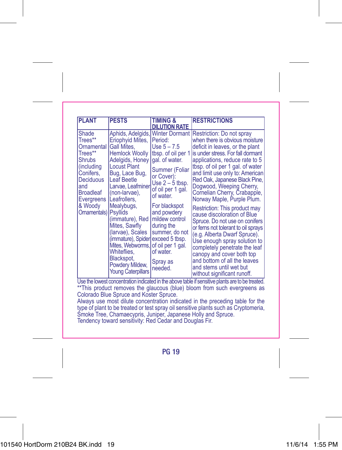| <b>PLANT</b>                                                                                                                                                     | <b>PESTS</b>                                                                                                                                                                                                                                                                                                                                                                                                                               | <b>TIMING &amp;</b><br><b>DILUTION RATE</b>                                                                                                                                                                                                                                   | <b>RESTRICTIONS</b>                                                                                                                                                                                                                                                                                                                                                                                                                                                                                                                                                                                                                                                                                                                                                       |
|------------------------------------------------------------------------------------------------------------------------------------------------------------------|--------------------------------------------------------------------------------------------------------------------------------------------------------------------------------------------------------------------------------------------------------------------------------------------------------------------------------------------------------------------------------------------------------------------------------------------|-------------------------------------------------------------------------------------------------------------------------------------------------------------------------------------------------------------------------------------------------------------------------------|---------------------------------------------------------------------------------------------------------------------------------------------------------------------------------------------------------------------------------------------------------------------------------------------------------------------------------------------------------------------------------------------------------------------------------------------------------------------------------------------------------------------------------------------------------------------------------------------------------------------------------------------------------------------------------------------------------------------------------------------------------------------------|
| Shade<br>Trees**<br>Ornamental<br>Trees**<br><b>Shrubs</b><br>(including<br>Conifers.<br>Deciduous<br>land<br>Broadleaf<br>Evergreens<br>& Woody<br>Ornamentals) | Eriophyid Mites.<br>Gall Mites.<br><b>Hemlock Woolly</b><br>Adelgids, Honey<br><b>Locust Plant</b><br>Bug, Lace Bug,<br><b>Leaf Beetle</b><br>Larvae, Leafminer<br>(non-larvae).<br>Leafrollers.<br>Mealybugs,<br>Psyllids<br>(immature), Red<br>Mites, Sawfly<br>(larvae), Scales<br>(immature), Spider exceed 5 tbsp.<br>Mites, Webworms, of oil per 1 gal.<br>Whiteflies.<br>Blackspot.<br>Powdery Mildew,<br><b>Young Caterpillars</b> | Period:<br>Use $5 - 7.5$<br>tbsp. of oil per 1<br>gal, of water.<br>Summer (Foliar<br>or Cover):<br>Use $2 - 5$ tbsp.<br>of oil per 1 gal.<br>of water.<br>For blackspot<br>and powdery<br>mildew control<br>during the<br>summer, do not<br>of water.<br>Spray as<br>needed. | Aphids, Adelgids, Winter Dormant Restriction: Do not spray<br>when there is obvious moisture<br>deficit in leaves, or the plant<br>is under stress. For fall dormant<br>applications, reduce rate to 5<br>tbsp. of oil per 1 gal. of water<br>and limit use only to: American<br>Red Oak, Japanese Black Pine.<br>Dogwood, Weeping Cherry,<br>Cornelian Cherry, Crabapple,<br>Norway Maple, Purple Plum.<br>Restriction: This product may<br>cause discoloration of Blue<br>Spruce. Do not use on conifers<br>or ferns not tolerant to oil sprays<br>(e.g. Alberta Dwarf Spruce).<br>Use enough spray solution to<br>completely penetrate the leaf<br>canopy and cover both top<br>and bottom of all the leaves<br>and stems until wet but<br>without significant runoff. |

Use the lowest concentration indicated in the above table if sensitive plants are to be treated. \*\*This product removes the glaucous (blue) bloom from such evergreens as Colorado Blue Spruce and Koster Spruce.

Always use most dilute concentration indicated in the preceding table for the type of plant to be treated or test spray oil sensitive plants such as Cryptomeria, Smoke Tree, Chamaecypris, Juniper, Japanese Holly and Spruce. Tendency toward sensitivity: Red Cedar and Douglas Fir.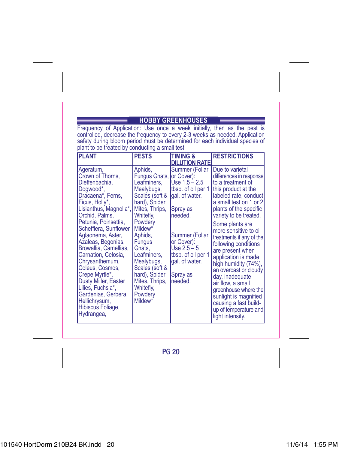### **HOBBY GREENHOUSES**

Frequency of Application: Use once a week initially, then as the pest is<br>controlled, decrease the frequency to every 2-3 weeks as needed. Application<br>safety during bloom period must be determined for each individual specie plant to be treated by conducting a small test.

| <b>PLANT</b>                                                                                                                                                                                                                                                           | <b>PESTS</b>                                                                                                                                                        | <b>TIMING &amp;</b><br><b>DILUTION RATE</b>                                                                    | <b>RESTRICTIONS</b>                                                                                                                                                                                                                                                                                                                   |
|------------------------------------------------------------------------------------------------------------------------------------------------------------------------------------------------------------------------------------------------------------------------|---------------------------------------------------------------------------------------------------------------------------------------------------------------------|----------------------------------------------------------------------------------------------------------------|---------------------------------------------------------------------------------------------------------------------------------------------------------------------------------------------------------------------------------------------------------------------------------------------------------------------------------------|
| Ageratum,<br>Crown of Thorns,<br>Dieffenbachia.<br>Dogwood*,<br>Dracaena*, Ferns,<br>Ficus, Holly*,<br>Lisianthus, Magnolia*,<br>Orchid, Palms.<br>Petunia, Poinsettia,<br>Schefflera, Sunflower                                                                       | Aphids.<br>Fungus Gnats,<br>Leafminers.<br>Mealybugs,<br>Scales (soft &<br>hard), Spider<br>Mites, Thrips,<br>Whitefly,<br>Powdery<br>Mildew <sup>*</sup>           | Summer (Foliar<br>or Cover):<br>Use $1.5 - 2.5$<br>tbsp. of oil per 1<br>gal. of water.<br>Spray as<br>needed. | Due to varietal<br>differences in response<br>to a treatment of<br>this product at the<br>labeled rate, conduct<br>a small test on 1 or 2<br>plants of the specific<br>variety to be treated.<br>Some plants are                                                                                                                      |
| Aglaonema, Aster,<br>Azaleas, Begonias,<br>Browallia, Camellias,<br>Carnation, Celosia.<br>Chrysanthemum,<br>Coleus, Cosmos.<br>Crepe Myrtle*,<br>Dusty Miller, Easter<br>Lilies, Fuchsia*,<br>Gardenias, Gerbera,<br>Hellichrysum,<br>Hibiscus Foliage,<br>Hydrangea, | Aphids.<br><b>Fungus</b><br>Gnats.<br>Leafminers,<br>Mealybugs,<br>Scales (soft &<br>hard), Spider<br>Mites, Thrips,<br>Whitefly,<br>Powdery<br>Mildew <sup>*</sup> | Summer (Foliar<br>or Cover):<br>Use $2.5 - 5$<br>tbsp. of oil per 1<br>gal. of water.<br>Spray as<br>needed.   | more sensitive to oil<br>treatments if any of the<br>following conditions<br>are present when<br>application is made:<br>high humidity (74%).<br>an overcast or cloudy<br>day, inadequate<br>air flow, a small<br>greenhouse where the<br>sunlight is magnified<br>causing a fast build-<br>up of temperature and<br>light intensity. |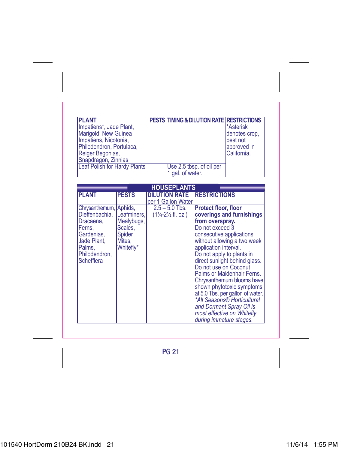| <b>PLANT</b>                 | PESTS TIMING & DILUTION RATE RESTRICTIONS |               |
|------------------------------|-------------------------------------------|---------------|
| Impatiens*, Jade Plant,      |                                           | *Asterisk     |
| Marigold, New Guinea         |                                           | denotes crop. |
| Impatiens, Nicotonia,        |                                           | pest not      |
| Philodendron, Portulaca,     |                                           | approved in   |
| Reiger Begonias,             |                                           | California.   |
| Snapdragon, Zinnias          |                                           |               |
| Leaf Polish for Hardy Plants | Use 2.5 tbsp. of oil per                  |               |
|                              | 1 gal. of water.                          |               |

| <b>HOUSEPLANTS</b>                                                                  |                                          |                                                           |                                                                                                                                                                                                                                                                       |  |
|-------------------------------------------------------------------------------------|------------------------------------------|-----------------------------------------------------------|-----------------------------------------------------------------------------------------------------------------------------------------------------------------------------------------------------------------------------------------------------------------------|--|
| <b>PLANT</b>                                                                        | <b>PESTS</b>                             | DILUTION RATE                                             | <b>RESTRICTIONS</b>                                                                                                                                                                                                                                                   |  |
|                                                                                     |                                          | per 1 Gallon Water                                        |                                                                                                                                                                                                                                                                       |  |
| Chrysanthemum, Aphids,<br>Dieffenbachia.<br>Dracaena,                               | Leafminers.<br>Mealybugs,                | $2.5 - 5.0$ Tbs.<br>$(1\frac{1}{4}-2\frac{1}{2}$ fl. oz.) | <b>Protect floor, floor</b><br>coverings and furnishings<br>from overspray.                                                                                                                                                                                           |  |
| Ferns,<br>Gardenias.<br><b>Jade Plant.</b><br>Palms.<br>Philodendron.<br>Schefflera | Scales,<br>Spider<br>Mites,<br>Whitefly* |                                                           | Do not exceed 3<br>consecutive applications<br>without allowing a two week<br>application interval.<br>Do not apply to plants in<br>direct sunlight behind glass.                                                                                                     |  |
|                                                                                     |                                          |                                                           | Do not use on Coconut<br>Palms or Maidenhair Ferns.<br>Chrysanthemum blooms have<br>shown phytotoxic symptoms<br>at 5.0 Tbs. per gallon of water.<br>*All Seasons® Horticultural<br>and Dormant Spray Oil is<br>most effective on Whitefly<br>during immature stages. |  |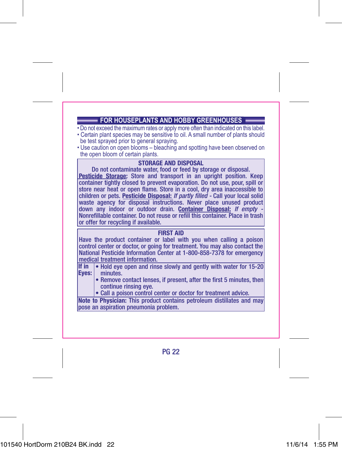## **FOR HOUSEPLANTS AND HOBBY GREENHOUSES**

- Do not exceed the maximum rates or apply more often than indicated on this label.
- Certain plant species may be sensitive to oil. A small number of plants should be test sprayed prior to general spraying.
- Use caution on open blooms bleaching and spotting have been observed on the open bloom of certain plants.

**STORAGE AND DISPOSAL**<br>Do not contaminate water, food or feed by storage or disposal. **Pesticide Storage:** Store and transport in an upright position. Keep container tightly closed to prevent evaporation. Do not use, pour, spill or store near heat or open flame. Store in a cool, dry area inaccessible to children or pets. **Pesticide Disposal:** *If partly filled -* Call your local solid waste agency for disposal instructions. Never place unused product down any indoor or outdoor drain. Container Disposal: If empty -Nonrefillable container. Do not reuse or refill this container. Place in trash or offer for recycling if available.

### **FIRST AID**

Have the product container or label with you when calling a poison control center or doctor, or going for treatment. You may also contact the National Pesticide Information Center at 1-800-858-7378 for emergency medical treatment information.

- Hold eye open and rinse slowly and gently with water for 15-20 **If in**  minutes. **Eyes:**
	- Remove contact lenses, if present, after the first 5 minutes, then continue rinsing eye.
	- Call a poison control center or doctor for treatment advice.

**Note to Physician:** This product contains petroleum distillates and may pose an aspiration pneumonia problem.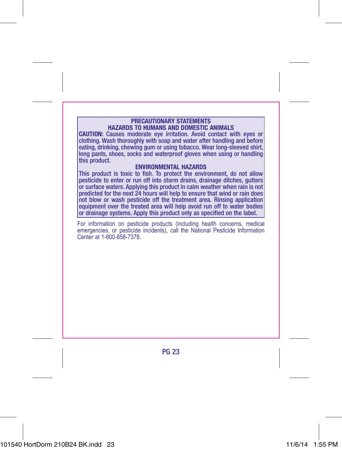#### **PRECAUTIONARY STATEMENTS HAZARDS TO HUMANS AND DOMESTIC ANIMALS**

**CAUTION:** Causes moderate eye irritation. Avoid contact with eyes or clothing. Wash thoroughly with soap and water after handling and before eating, drinking, chewing gum or using tobacco. Wear long-sleeved shirt, long pants, shoes, socks and waterproof gloves when using or handling this product.

#### **ENVIRONMENTAL HAZARDS**

This product is toxic to fish. To protect the environment, do not allow pesticide to enter or run off into storm drains, drainage ditches, gutters or surface waters. Applying this product in calm weather when rain is not predicted for the next 24 hours will help to ensure that wind or rain does not blow or wash pesticide off the treatment area. Rinsing application equipment over the treated area will help avoid run off to water bodies or drainage systems. Apply this product only as specified on the label.

For information on pesticide products (including health concerns, medical emergencies, or pesticide incidents), call the National Pesticide Information Center at 1-800-858-7378.